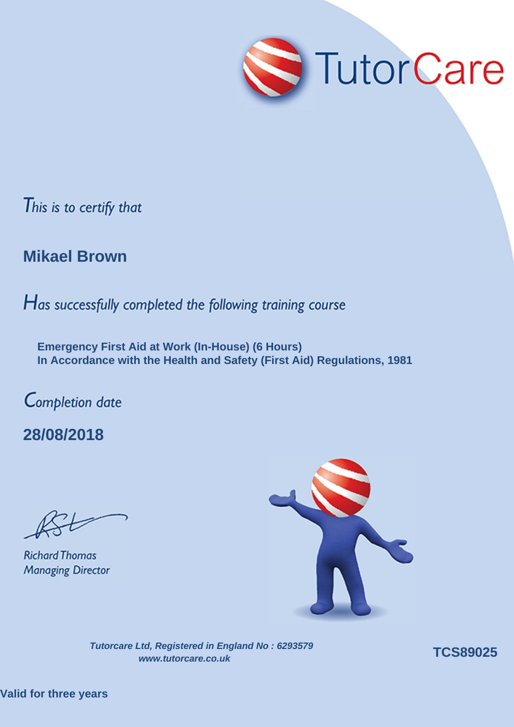

#### **Mikael Brown**

Has successfully completed the following training course

**Emergency First Aid at Work (In-House) (6 Hours) In Accordance with the Health and Safety (First Aid) Regulations, 1981**

Completion date

**28/08/2018**

**Richard Thomas Managing Director** 

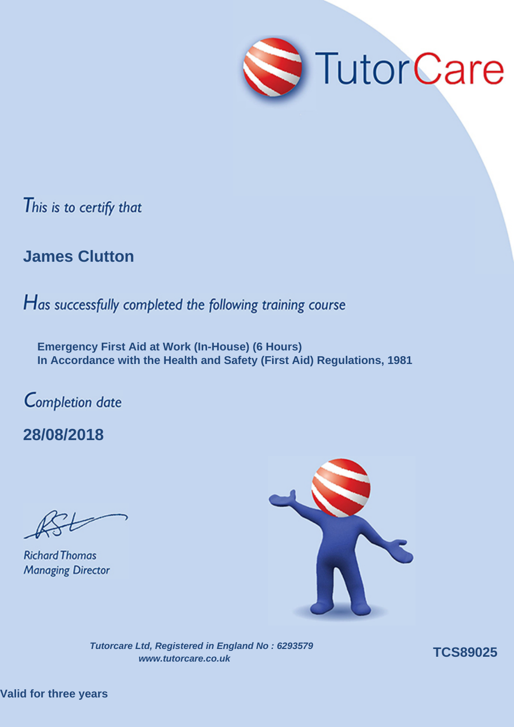

### **James Clutton**

Has successfully completed the following training course

**Emergency First Aid at Work (In-House) (6 Hours) In Accordance with the Health and Safety (First Aid) Regulations, 1981**

Completion date

**28/08/2018**

**Richard Thomas Managing Director** 



**Tutorcare Ltd, Registered in England No : 6293579 www.tutorcare.co.uk TCS89025** 

**Valid for three years**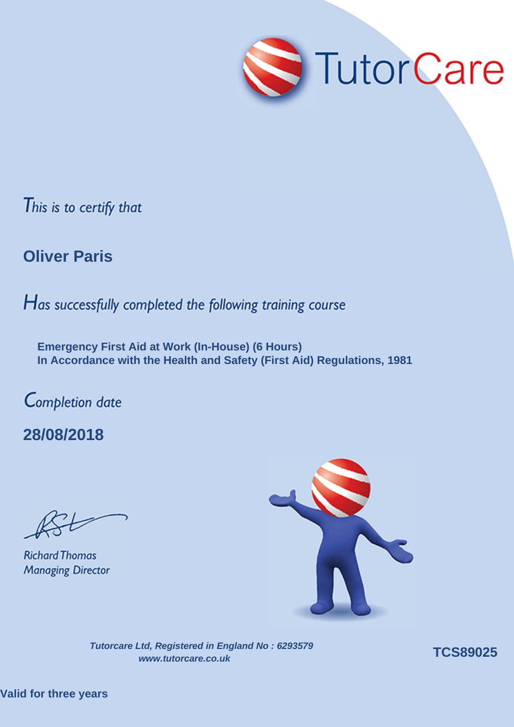

# **Oliver Paris**

Has successfully completed the following training course

**Emergency First Aid at Work (In-House) (6 Hours) In Accordance with the Health and Safety (First Aid) Regulations, 1981**

Completion date

**28/08/2018**

**Richard Thomas Managing Director** 

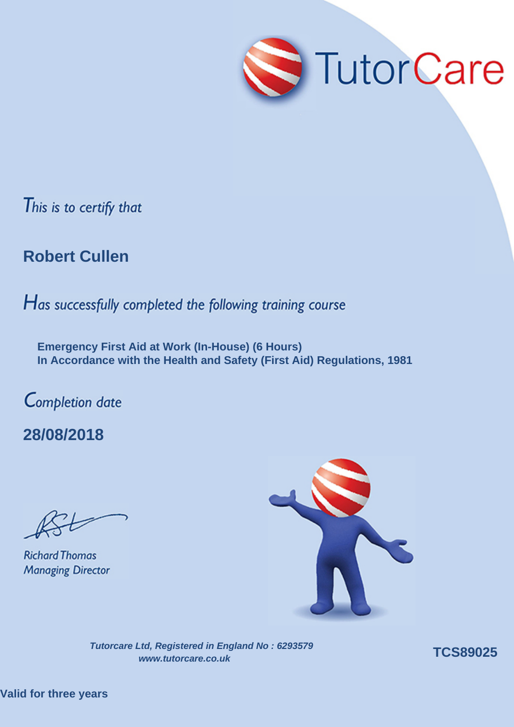

## **Robert Cullen**

Has successfully completed the following training course

**Emergency First Aid at Work (In-House) (6 Hours) In Accordance with the Health and Safety (First Aid) Regulations, 1981**

Completion date

**28/08/2018**

**Richard Thomas Managing Director** 



**Tutorcare Ltd, Registered in England No : 6293579 www.tutorcare.co.uk TCS89025** 

**Valid for three years**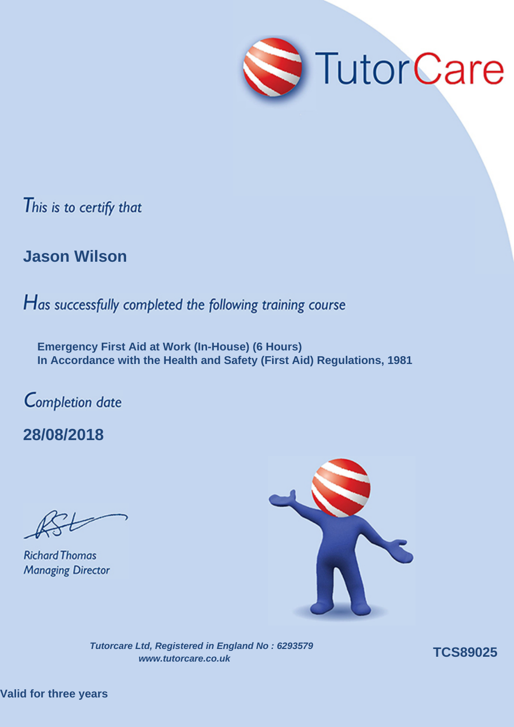

### **Jason Wilson**

Has successfully completed the following training course

**Emergency First Aid at Work (In-House) (6 Hours) In Accordance with the Health and Safety (First Aid) Regulations, 1981**

Completion date

**28/08/2018**

**Richard Thomas Managing Director** 

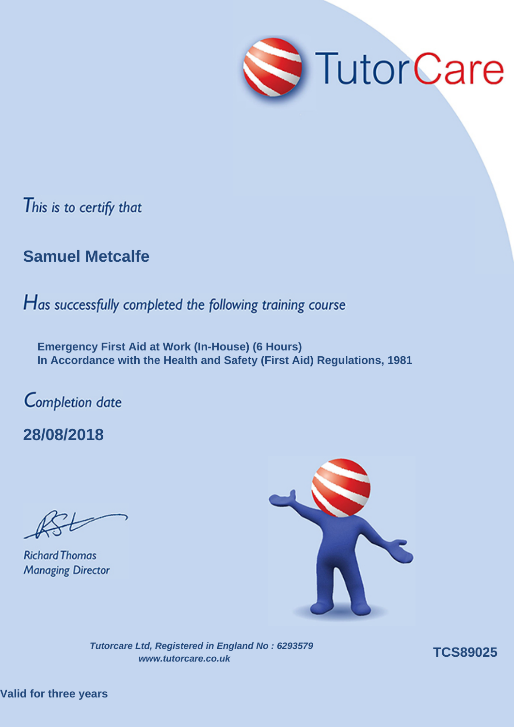

## **Samuel Metcalfe**

Has successfully completed the following training course

**Emergency First Aid at Work (In-House) (6 Hours) In Accordance with the Health and Safety (First Aid) Regulations, 1981**

Completion date

**28/08/2018**

**Richard Thomas Managing Director** 

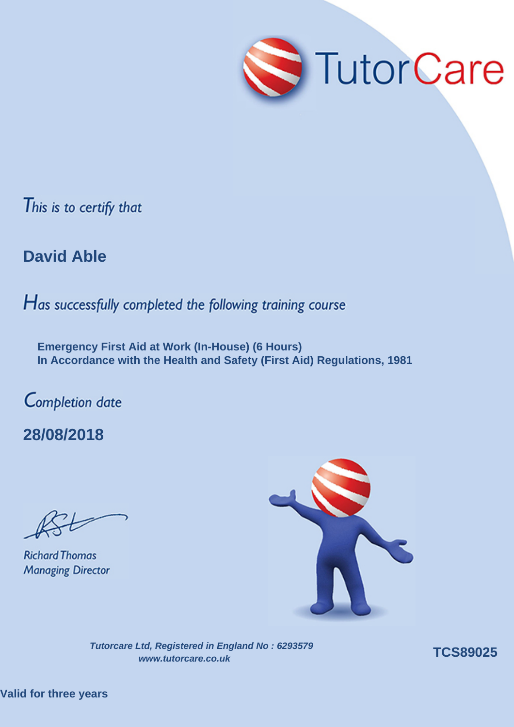

**David Able**

Has successfully completed the following training course

**Emergency First Aid at Work (In-House) (6 Hours) In Accordance with the Health and Safety (First Aid) Regulations, 1981**

Completion date

**28/08/2018**

**Richard Thomas Managing Director** 



**Tutorcare Ltd, Registered in England No : 6293579 www.tutorcare.co.uk TCS89025** 

**Valid for three years**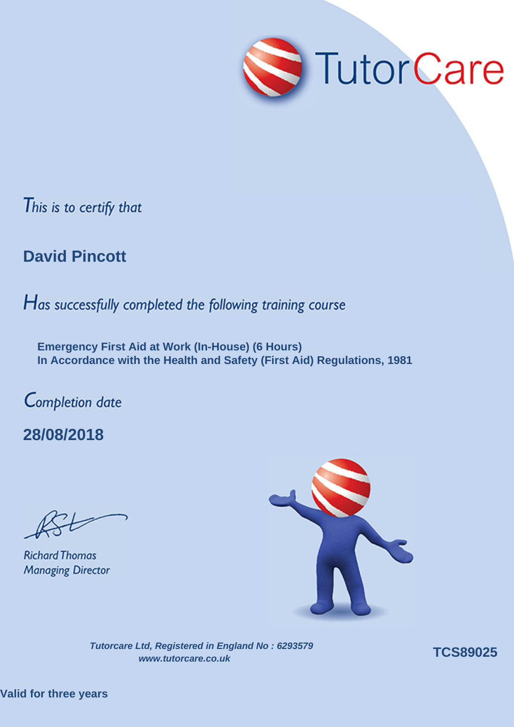

### **David Pincott**

Has successfully completed the following training course

**Emergency First Aid at Work (In-House) (6 Hours) In Accordance with the Health and Safety (First Aid) Regulations, 1981**

Completion date

**28/08/2018**

**Richard Thomas Managing Director**